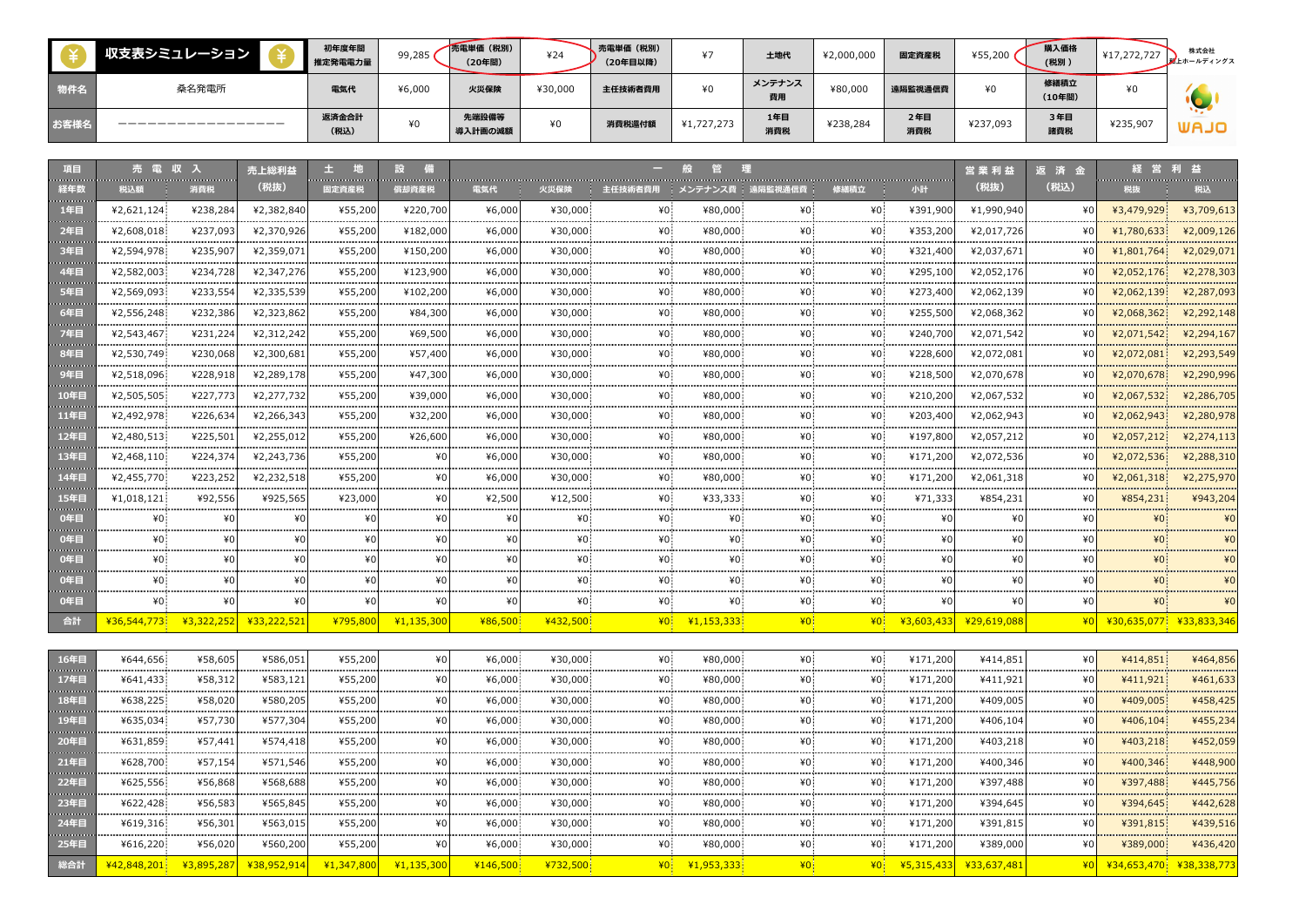|      | 収支表シミュレーション | 初年度年間<br>推定発電電力量 | 99,285 | 売電単価 (税別)<br>(20年間) | ¥24     | 、売電単価 (税別)<br>(20年目以降) | $\cdots$   | 土地代          | ¥2,000,000 | 固定資産税      | ¥55,200  | 購入価格<br>(税別)   | ¥17,272,727 | 株式会社<br>私上ホールディングス |
|------|-------------|------------------|--------|---------------------|---------|------------------------|------------|--------------|------------|------------|----------|----------------|-------------|--------------------|
| 物件名  | 桑名発電所       | 電気代              | ¥6,000 | 火災保険                | ¥30,000 | 主任技術者費用                | ¥0         | メンテナンス<br>費用 | ¥80,000    | 遠隔監視通信費    | ¥0       | 修繕積立<br>(10年間) | ¥0          |                    |
| お客様名 |             | 返済金合計<br>(税込)    | ¥O     | 先端設備等<br>導入計画の減額    | ¥0      | 消費税還付額                 | ¥1,727,273 | 1年目<br>消費税   | ¥238,284   | 2年目<br>消費税 | ¥237,093 | 3年目<br>諸費税     | ¥235,907    | UAJO               |

| 項目                                              |             | <b>CONTRACTOR</b>       | 売上総利益                        | .                       |              |            |          |                 |                   |                 |                 |            | 営業利益        | 返済金  |            |                         |
|-------------------------------------------------|-------------|-------------------------|------------------------------|-------------------------|--------------|------------|----------|-----------------|-------------------|-----------------|-----------------|------------|-------------|------|------------|-------------------------|
| 経年数<br><b>Continued by</b>                      | 税込額         | 消費税                     | (税抜)                         | 固定資産税                   | 償却資産税        | 電気代        | 火災保険     | 主任技術者費用         | メンテナンス費   遠隔監視通信費 |                 | 修繕積立            | 小計         | (税抜)        | (税込) | 税抜         | 税込                      |
| 1年目<br><b>Service Control</b>                   | ¥2,621,124  | ¥238,284                | ¥2,382,840                   | ¥55,200                 | ¥220,700     | ¥6,000     | ¥30,000  | ¥0.             | ¥80,000           | ¥0              | ¥0.             | ¥391,900   | ¥1,990,940  |      | ¥3,479,929 | ¥3,709,613              |
| 2年目<br><b>Contract Contract</b>                 | ¥2,608,018  | ¥237,093                | ¥2,370,926                   | ¥55,200                 | ¥182,000     | ¥6,000     | ¥30,000  |                 | ¥80,000           |                 |                 | ¥353,200   | ¥2,017,726  |      | ¥1,780,633 | ¥2,009,126              |
| 3年目<br><b>Continued by Continued Bank</b>       | ¥2,594,978  | ¥235,907                | ¥2,359,071                   | ¥55,200                 | ¥150,200     | ¥6,000     | ¥30,000  | ¥0.             | ¥80,000           |                 |                 | ¥321,400   | ¥2,037,671  |      | ¥1,801,764 | ¥2,029,071              |
| 4年目<br><b>Service Control</b>                   | ¥2,582,003  | ¥234,728                | ¥2,347,276                   | ¥55,200                 | ¥123,900     | ¥6,000     | ¥30,000  | ¥0.             | ¥80,000           | ¥۵              | ¥0.             | ¥295,100   | ¥2,052,176  |      | ¥2,052,176 | ¥2,278,303              |
| 5年目<br><b>CONTRACTOR</b>                        | ¥2,569,093  | ¥233,554                | ¥2,335,539                   | ¥55,200                 | ¥102,200     | ¥6,000     | ¥30,000  | $*0$            | ¥80,000           | ¥۵              | ¥O.             | ¥273,400   | ¥2,062,139  |      | ¥2,062,139 | ¥2,287,093              |
| 6年目<br><b>Contractor</b>                        | ¥2,556,248  | ¥232,386                | ¥2,323,862                   | ¥55,200                 | ¥84,300      | ¥6,000     | ¥30,000  | ¥0.             | ¥80,000           |                 | ¥0.             | ¥255,500   | ¥2,068,362  |      | ¥2,068,362 | ¥2,292,148              |
| 7年目<br><b>Service Control</b>                   | ¥2,543,467  | ¥231,224                | ¥2,312,242                   | ¥55,200                 | ¥69,500      | ¥6,000     | ¥30,000  | $*0$            | ¥80,000           |                 | ¥O.             | ¥240,700   | ¥2,071,542  |      | ¥2,071,542 | ¥2,294,167              |
| 8年目                                             | ¥2,530,749  | ¥230,068                | ¥2,300,681                   | ¥55,200                 | ¥57,400      | ¥6,000     | ¥30,000  | ¥0.             | ¥80,000           |                 | ¥O.             | ¥228,600   | ¥2,072,081  |      | ¥2,072,081 | ¥2,293,549              |
| <b>CONTRACTOR</b><br>9年目                        | ¥2,518,096  | ¥228,918                | ¥2,289,178                   | ¥55,200                 | ¥47,300      | ¥6,000     | ¥30,000  | ¥0              | ¥80,000           | ¥۵              | ¥0.             | ¥218,500   | ¥2,070,678  |      | ¥2,070,678 | ¥2,290,996              |
| <b>Service Control</b><br>10年目                  | ¥2,505,505  | ¥227,773<br>----------- | ¥2,277,732<br>-------------- | ¥55,200<br>------------ | ¥39,000<br>. | ¥6,000<br> | ¥30,000  | ¥O              | ¥80,000           |                 |                 | ¥210,200   | ¥2,067,532  | .    | ¥2,067,532 | ¥2,286,705              |
| <b>Service Common</b><br>11年目                   | ¥2,492,978  | ¥226,634                | ¥2,266,343                   | ¥55,200                 | ¥32,200      | ¥6,000     | ¥30,000  |                 | ¥80,000           |                 |                 | ¥203,400   | ¥2,062,943  |      | ¥2,062,943 | ¥2,280,978<br>.         |
| <b>CONTRACTOR</b><br>12年目                       | ¥2,480,513  | ¥225,501                | ¥2,255,012                   | ¥55,200                 | ¥26,600      | ¥6,000     | ¥30,000  | ¥n:             | ¥80,000           |                 |                 | ¥197,800   | ¥2,057,212  |      | ¥2,057,212 | 42,274,113              |
| <b><i><u>Property Contracts</u></i></b><br>13年目 | ¥2,468,110  | ¥224,374                | ¥2,243,736                   | ¥55,200                 | ¥0           | ¥6,000     | ¥30,000  | ¥Ω.             | ¥80,000           |                 |                 | ¥171,200   | ¥2,072,536  |      | ¥2,072,536 | .<br>¥2,288,310         |
| <b>CONTRACTOR</b><br>14年日                       | ¥2,455,770  | ¥223,252                | ¥2,232,518                   | ¥55,200                 | ¥O           | ¥6,000     | ¥30,000  | $*0$ :          | ¥80,000           | ¥۵              |                 | ¥171,200   | ¥2,061,318  |      | ¥2,061,318 | ¥2,275,970              |
| <b>CONTRACTOR</b><br>15年日                       | ¥1,018,121  | ¥92,556                 | ¥925,565                     | ¥23,000                 | ¥O           | ¥2,500     | ¥12,500  | ¥0:             | ¥33,333           |                 |                 | ¥71,333    | ¥854,231    |      | ¥854,231   | ¥943,204                |
| 0年目                                             | ¥0.         | ¥O                      |                              |                         |              |            |          |                 | ¥0.               |                 |                 | ¥O         |             |      |            |                         |
| 0年目                                             | ¥0.         |                         |                              |                         |              |            | ¥O       |                 | ¥0.               |                 |                 | ¥۵         |             |      |            |                         |
| 0年目                                             |             |                         |                              |                         |              |            |          |                 |                   |                 |                 |            |             |      |            |                         |
| 0年目                                             | ¥0.         | ¥۵                      |                              |                         |              | ¥በ         | ¥٥       | ¥۵              | ¥0.               | ¥0.             | ¥0.             | ¥∩         |             |      |            |                         |
| 0年目                                             | ¥0.         | ¥O                      | ¥Ω                           | ¥(                      | ¥O           | ¥O         | ¥0       | ¥0.             | ¥0.               | ¥0:             | ¥0.             | ¥O         |             |      |            | ¥O                      |
| 合計                                              | ¥36,544,773 | ¥3,322,252              | ¥33,222,521                  | ¥795,800                | ¥1,135,300   | ¥86,500    | ¥432,500 | ¥O              | 41.153.333        | 40 <sup>°</sup> | 40 <sup>°</sup> | ¥3,603,433 | ¥29,619,088 |      |            | ¥30,635,077 ¥33,833,346 |
|                                                 |             |                         |                              |                         |              |            |          |                 |                   |                 |                 |            |             |      |            |                         |
| 16年目                                            | ¥644,656    | ¥58,605                 | ¥586,051                     | ¥55,200                 | ¥O           | ¥6,000     | ¥30,000  | 40 <sup>1</sup> | ¥80,000           | $*0$            | ¥0              | ¥171,200   | ¥414,851    |      | ¥414,851   | ¥464,856                |
| 17年目                                            | ¥641,433    | ¥58,312                 | ¥583,121                     | ¥55,200                 | ¥0           | ¥6,000     | ¥30,000  | ¥0              | ¥80,000           | ¥0.             | ¥0              | ¥171,200   | ¥411,921    | ¥O   | ¥411,921   | ¥461,633                |

| 17年目                                          | ¥641,433    | ¥58,312 | ¥583,121                      | ¥55,200                  | ¥0         | ¥6,000   | ¥30,000  | ¥0. | ¥80,000                               |                | ¥0.  | ¥171,200 | ¥411,921               | ¥O   | ¥411,921 | ¥461,633 |
|-----------------------------------------------|-------------|---------|-------------------------------|--------------------------|------------|----------|----------|-----|---------------------------------------|----------------|------|----------|------------------------|------|----------|----------|
| 18年目                                          | ¥638,225    | ¥58,020 | ¥580,205                      | ¥55,200                  | ¥0         | ¥6,000   | ¥30,000  | ¥0. | ¥80,000                               | ¥0:            | ¥0.  | ¥171,200 | ¥409,005               | ¥O   | ¥409,005 | ¥458,425 |
| 19年目                                          | ¥635,034    | ¥57,730 | ¥577,304                      | ¥55,200                  | ¥O         | ¥6,000   | ¥30,000  | ¥0: | ¥80,000                               |                | ¥0.  | ¥171,200 | ¥406,104               | ¥OI  | ¥406,104 | ¥455,234 |
| 20年目                                          | ¥631,859    | ¥57,441 | ¥574,418                      | ¥55,200                  | ¥0         | ¥6,000.  | ¥30,000  | ¥0. | ¥80,000                               | ¥0.            | ¥0.  | ¥171,200 | ¥403,218               | ¥O   | ¥403,218 | ¥452,059 |
| 21年目<br><b>The Committee of the Committee</b> | ¥628,700    | ¥57,154 | ¥571,546                      | ¥55,200                  | ¥0         | ¥6,000   | ¥30,000  | ¥0. | ¥80,000                               | ¥0.            | ¥0.  | ¥171,200 | ¥400,346               | ¥∩   | ¥400,346 | ¥448,900 |
| 22年目                                          | ¥625,556    | ¥56,868 | ¥568,688                      | ¥55,200                  | ¥0         | ¥6,000   | ¥30,000  | ¥0. | ¥80,000                               | ¥0.            | ¥0:  | ¥171,200 | ¥397,488               | ¥O   | ¥397,488 | ¥445,756 |
| 23年目                                          | ¥622,428    | ¥56,583 | ¥565,845                      | ¥55,200                  | ¥0         | ¥6,000   | ¥30,000  | ¥0. | ¥80,000                               | ¥0:            | ¥0.  | ¥171,200 | ¥394,645               | ¥∩   | ¥394,645 | ¥442,628 |
| 24年目                                          | ¥619,316    | ¥56,301 | ¥563,015                      | ¥55,200                  | ¥0         | ¥6,000   | ¥30,000  | ¥0. | ¥80,000                               |                | ¥0.  | ¥171,200 | ¥391,815               | ¥∩   | ¥391,815 | ¥439,516 |
| 25年目                                          | ¥616,220    | ¥56,020 | ¥560,200                      | ¥55,200                  | ¥0         | ¥6,000   | ¥30,000  | ¥0. | ¥80,000                               |                | ¥0.  | ¥171,200 | ¥389,000               | ¥O   | ¥389,000 | ¥436,420 |
| 総合計                                           | 442.848.201 |         | <u>¥3,895,287 ¥38,952,914</u> | $\frac{1}{2}$ (1,347,800 | ¥1,135,300 | 4146,500 | ¥732,500 |     | $\frac{40}{1}$ $\frac{41,953,333}{1}$ | ¥ <sub>0</sub> | $*0$ |          | ¥5,315,433 ¥33,637,481 | ¥0I∎ |          |          |